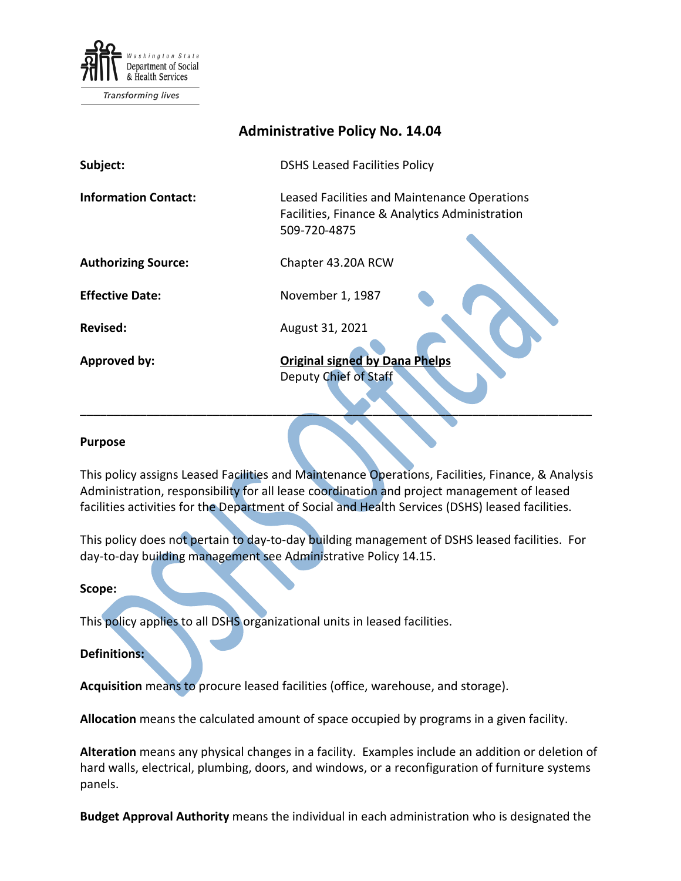

# **Administrative Policy No. 14.04**

| Subject:                    | <b>DSHS Leased Facilities Policy</b>                                                                           |
|-----------------------------|----------------------------------------------------------------------------------------------------------------|
| <b>Information Contact:</b> | Leased Facilities and Maintenance Operations<br>Facilities, Finance & Analytics Administration<br>509-720-4875 |
| <b>Authorizing Source:</b>  | Chapter 43.20A RCW                                                                                             |
| <b>Effective Date:</b>      | November 1, 1987                                                                                               |
| <b>Revised:</b>             | August 31, 2021                                                                                                |
| Approved by:                | <b>Original signed by Dana Phelps</b><br>Deputy Chief of Staff                                                 |

### **Purpose**

This policy assigns Leased Facilities and Maintenance Operations, Facilities, Finance, & Analysis Administration, responsibility for all lease coordination and project management of leased facilities activities for the Department of Social and Health Services (DSHS) leased facilities.

This policy does not pertain to day-to-day building management of DSHS leased facilities. For day-to-day building management see Administrative Policy 14.15.

### **Scope:**

This policy applies to all DSHS organizational units in leased facilities.

### **Definitions:**

**Acquisition** means to procure leased facilities (office, warehouse, and storage).

**Allocation** means the calculated amount of space occupied by programs in a given facility.

**Alteration** means any physical changes in a facility. Examples include an addition or deletion of hard walls, electrical, plumbing, doors, and windows, or a reconfiguration of furniture systems panels.

**Budget Approval Authority** means the individual in each administration who is designated the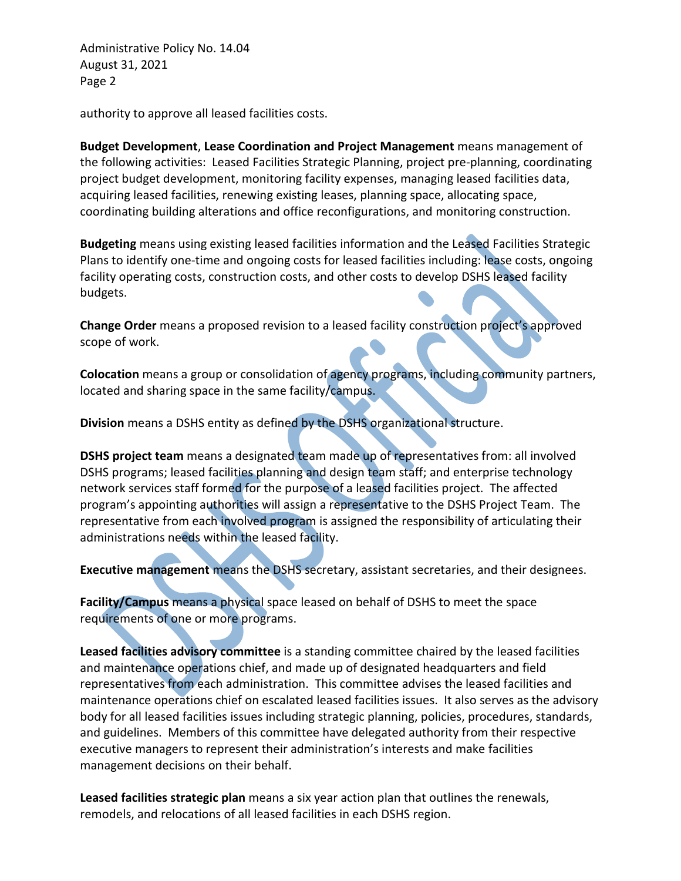authority to approve all leased facilities costs.

**Budget Development**, **Lease Coordination and Project Management** means management of the following activities: Leased Facilities Strategic Planning, project pre-planning, coordinating project budget development, monitoring facility expenses, managing leased facilities data, acquiring leased facilities, renewing existing leases, planning space, allocating space, coordinating building alterations and office reconfigurations, and monitoring construction.

**Budgeting** means using existing leased facilities information and the Leased Facilities Strategic Plans to identify one-time and ongoing costs for leased facilities including: lease costs, ongoing facility operating costs, construction costs, and other costs to develop DSHS leased facility budgets.

**Change Order** means a proposed revision to a leased facility construction project's approved scope of work.

**Colocation** means a group or consolidation of agency programs, including community partners, located and sharing space in the same facility/campus.

**Division** means a DSHS entity as defined by the DSHS organizational structure.

**DSHS project team** means a designated team made up of representatives from: all involved DSHS programs; leased facilities planning and design team staff; and enterprise technology network services staff formed for the purpose of a leased facilities project. The affected program's appointing authorities will assign a representative to the DSHS Project Team. The representative from each involved program is assigned the responsibility of articulating their administrations needs within the leased facility.

**Executive management** means the DSHS secretary, assistant secretaries, and their designees.

**Facility/Campus** means a physical space leased on behalf of DSHS to meet the space requirements of one or more programs.

**Leased facilities advisory committee** is a standing committee chaired by the leased facilities and maintenance operations chief, and made up of designated headquarters and field representatives from each administration. This committee advises the leased facilities and maintenance operations chief on escalated leased facilities issues. It also serves as the advisory body for all leased facilities issues including strategic planning, policies, procedures, standards, and guidelines. Members of this committee have delegated authority from their respective executive managers to represent their administration's interests and make facilities management decisions on their behalf.

**Leased facilities strategic plan** means a six year action plan that outlines the renewals, remodels, and relocations of all leased facilities in each DSHS region.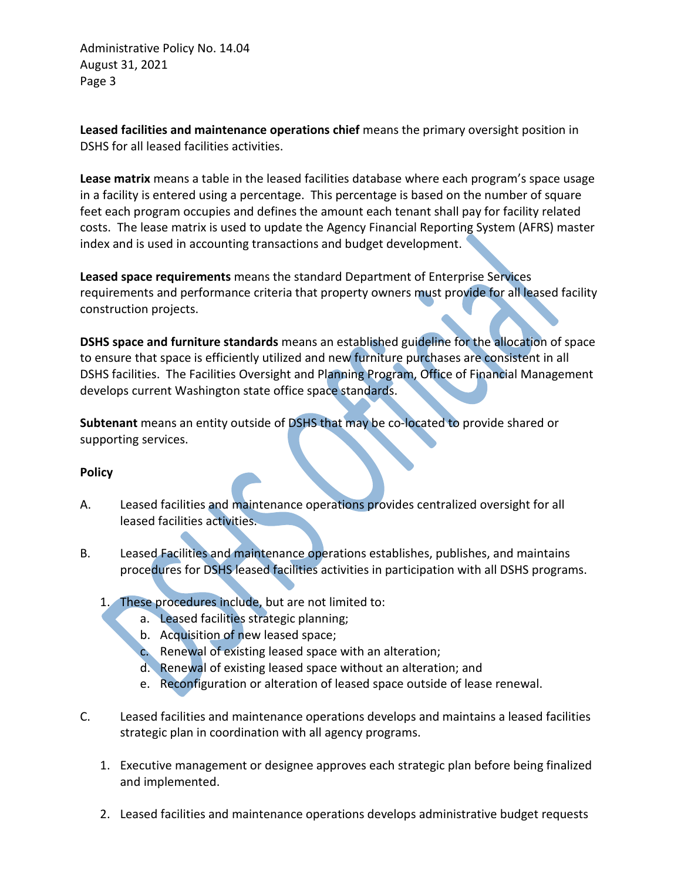**Leased facilities and maintenance operations chief** means the primary oversight position in DSHS for all leased facilities activities.

**Lease matrix** means a table in the leased facilities database where each program's space usage in a facility is entered using a percentage. This percentage is based on the number of square feet each program occupies and defines the amount each tenant shall pay for facility related costs. The lease matrix is used to update the Agency Financial Reporting System (AFRS) master index and is used in accounting transactions and budget development.

**Leased space requirements** means the standard Department of Enterprise Services requirements and performance criteria that property owners must provide for all leased facility construction projects.

**DSHS space and furniture standards** means an established guideline for the allocation of space to ensure that space is efficiently utilized and new furniture purchases are consistent in all DSHS facilities. The Facilities Oversight and Planning Program, Office of Financial Management develops current Washington state office space standards.

**Subtenant** means an entity outside of DSHS that may be co-located to provide shared or supporting services.

## **Policy**

- A. Leased facilities and maintenance operations provides centralized oversight for all leased facilities activities.
- B. Leased Facilities and maintenance operations establishes, publishes, and maintains procedures for DSHS leased facilities activities in participation with all DSHS programs.
	- 1. These procedures include, but are not limited to:
		- a. Leased facilities strategic planning;
		- b. Acquisition of new leased space;
		- c. Renewal of existing leased space with an alteration;
		- d. Renewal of existing leased space without an alteration; and
		- e. Reconfiguration or alteration of leased space outside of lease renewal.
- C. Leased facilities and maintenance operations develops and maintains a leased facilities strategic plan in coordination with all agency programs.
	- 1. Executive management or designee approves each strategic plan before being finalized and implemented.
	- 2. Leased facilities and maintenance operations develops administrative budget requests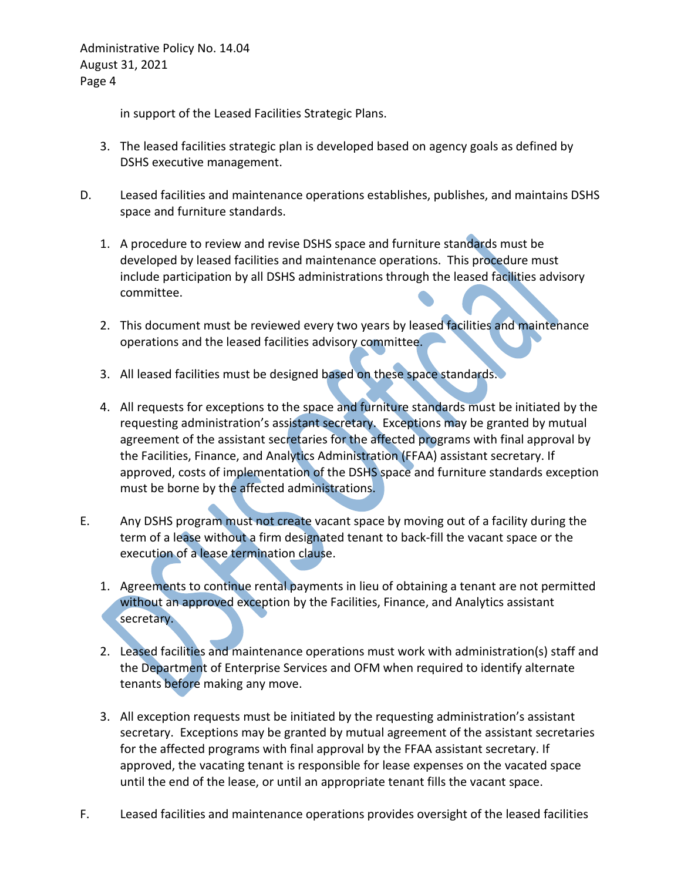in support of the Leased Facilities Strategic Plans.

- 3. The leased facilities strategic plan is developed based on agency goals as defined by DSHS executive management.
- D. Leased facilities and maintenance operations establishes, publishes, and maintains DSHS space and furniture standards.
	- 1. A procedure to review and revise DSHS space and furniture standards must be developed by leased facilities and maintenance operations. This procedure must include participation by all DSHS administrations through the leased facilities advisory committee.
	- 2. This document must be reviewed every two years by leased facilities and maintenance operations and the leased facilities advisory committee.
	- 3. All leased facilities must be designed based on these space standards.
	- 4. All requests for exceptions to the space and furniture standards must be initiated by the requesting administration's assistant secretary. Exceptions may be granted by mutual agreement of the assistant secretaries for the affected programs with final approval by the Facilities, Finance, and Analytics Administration (FFAA) assistant secretary. If approved, costs of implementation of the DSHS space and furniture standards exception must be borne by the affected administrations.
- E. Any DSHS program must not create vacant space by moving out of a facility during the term of a lease without a firm designated tenant to back-fill the vacant space or the execution of a lease termination clause.
	- 1. Agreements to continue rental payments in lieu of obtaining a tenant are not permitted without an approved exception by the Facilities, Finance, and Analytics assistant secretary.
	- 2. Leased facilities and maintenance operations must work with administration(s) staff and the Department of Enterprise Services and OFM when required to identify alternate tenants before making any move.
	- 3. All exception requests must be initiated by the requesting administration's assistant secretary. Exceptions may be granted by mutual agreement of the assistant secretaries for the affected programs with final approval by the FFAA assistant secretary. If approved, the vacating tenant is responsible for lease expenses on the vacated space until the end of the lease, or until an appropriate tenant fills the vacant space.
- F. Leased facilities and maintenance operations provides oversight of the leased facilities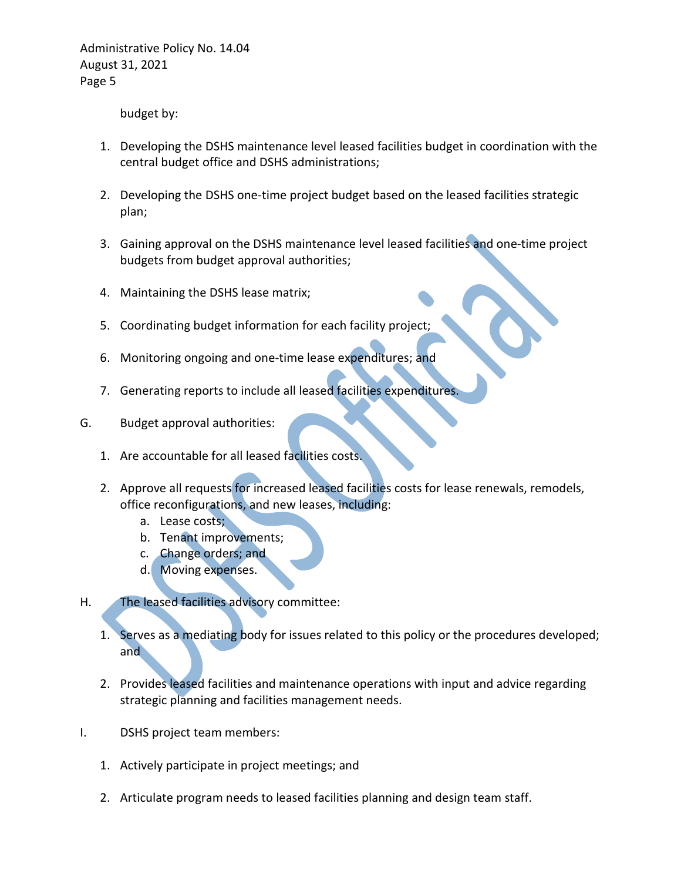budget by:

- 1. Developing the DSHS maintenance level leased facilities budget in coordination with the central budget office and DSHS administrations;
- 2. Developing the DSHS one-time project budget based on the leased facilities strategic plan;
- 3. Gaining approval on the DSHS maintenance level leased facilities and one-time project budgets from budget approval authorities;
- 4. Maintaining the DSHS lease matrix;
- 5. Coordinating budget information for each facility project;
- 6. Monitoring ongoing and one-time lease expenditures; and
- 7. Generating reports to include all leased facilities expenditures.
- G. Budget approval authorities:
	- 1. Are accountable for all leased facilities costs.
	- 2. Approve all requests for increased leased facilities costs for lease renewals, remodels, office reconfigurations, and new leases, including:
		- a. Lease costs;
		- b. Tenant improvements;
		- c. Change orders; and
		- d. Moving expenses.
- H. The leased facilities advisory committee:
	- 1. Serves as a mediating body for issues related to this policy or the procedures developed; and
	- 2. Provides leased facilities and maintenance operations with input and advice regarding strategic planning and facilities management needs.
- I. DSHS project team members:
	- 1. Actively participate in project meetings; and
	- 2. Articulate program needs to leased facilities planning and design team staff.